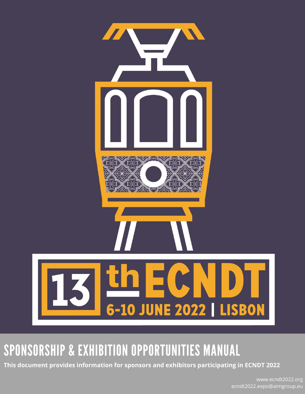

# SPONSORSHIP & EXHIBITION OPPORTUNITIES MANUAL

**This document provides information for sponsors and exhibitors participating in ECNDT 2022**

www.ecndt2022.org ecndt2022.expo@aimgroup.eu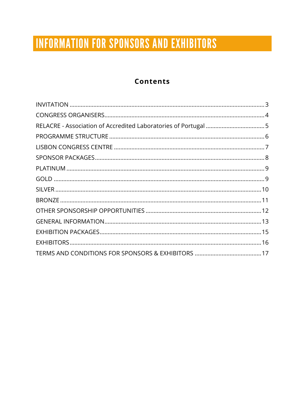# **INFORMATION FOR SPONSORS AND EXHIBITORS**

### **Contents**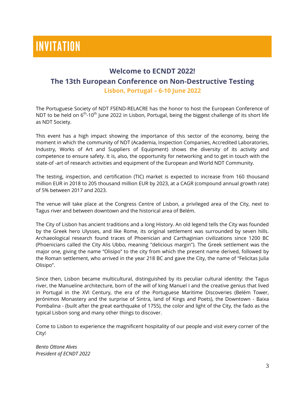# **INVITATION**

#### **Welcome to ECNDT 2022!**

#### **The 13th European Conference on Non-Destructive Testing**

**Lisbon, Portugal – 6-10 June 2022**

The Portuguese Society of NDT FSEND-RELACRE has the honor to host the European Conference of NDT to be held on  $6<sup>th</sup>$ -10<sup>th</sup> June 2022 in Lisbon, Portugal, being the biggest challenge of its short life as NDT Society.

This event has a high impact showing the importance of this sector of the economy, being the moment in which the community of NDT (Academia, Inspection Companies, Accredited Laboratories, Industry, Works of Art and Suppliers of Equipment) shows the diversity of its activity and competence to ensure safety. It is, also, the opportunity for networking and to get in touch with the state-of -art of research activities and equipment of the European and World NDT Community.

The testing, inspection, and certification (TIC) market is expected to increase from 160 thousand million EUR in 2018 to 205 thousand million EUR by 2023, at a CAGR (compound annual growth rate) of 5% between 2017 and 2023.

The venue will take place at the Congress Centre of Lisbon, a privileged area of the City, next to Tagus river and between downtown and the historical area of Belém.

The City of Lisbon has ancient traditions and a long History. An old legend tells the City was founded by the Greek hero Ulysses, and like Rome, its original settlement was surrounded by seven hills. Archaeological research found traces of Phoenician and Carthaginian civilizations since 1200 BC (Phoenicians called the City Alis Ubbo, meaning "delicious margin"). The Greek settlement was the major one, giving the name "Olisipo" to the city from which the present name derived, followed by the Roman settlement, who arrived in the year 218 BC and gave the City, the name of "Felicitas Julia Olisipo".

Since then, Lisbon became multicultural, distinguished by its peculiar cultural identity: the Tagus river, the Manueline architecture, born of the will of king Manuel I and the creative genius that lived in Portugal in the XVI Century, the era of the Portuguese Maritime Discoveries (Belém Tower, Jerónimos Monastery and the surprise of Sintra, land of Kings and Poets), the Downtown - Baixa Pombalina - (built after the great earthquake of 1755), the color and light of the City, the fado as the typical Lisbon song and many other things to discover.

Come to Lisbon to experience the magnificent hospitality of our people and visit every corner of the City!

*Bento Ottone Alves President of ECNDT 2022*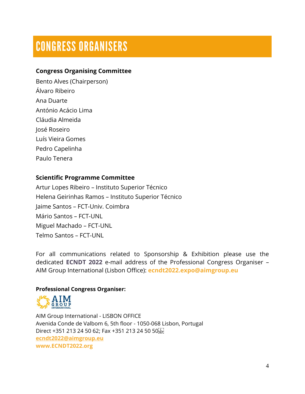### **CONGRESS ORGANISERS**

### **Congress Organising Committee**

Bento Alves (Chairperson) Álvaro Ribeiro Ana Duarte António Acácio Lima Cláudia Almeida José Roseiro Luís Vieira Gomes Pedro Capelinha Paulo Tenera

#### **Scientific Programme Committee**

Artur Lopes Ribeiro – Instituto Superior Técnico Helena Geirinhas Ramos – Instituto Superior Técnico Jaime Santos – FCT-Univ. Coimbra Mário Santos – FCT-UNL Miguel Machado – FCT-UNL Telmo Santos – FCT-UNL

For all communications related to Sponsorship & Exhibition please use the dedicated **ECNDT 2022** e-mail address of the Professional Congress Organiser – AIM Group International (Lisbon Office): **ecndt2022.expo@aimgroup.eu**

#### **Professional Congress Organiser:**



AIM Group International - LISBON OFFICE Avenida Conde de Valbom 6, 5th floor - 1050-068 Lisbon, Portugal Direct +351 213 24 50 62; Fax +351 213 24 50 50; T **[ecndt2022@aimgroup.eu](mailto:wcdt2020@aimgroup.eu) www.ECNDT2022.org**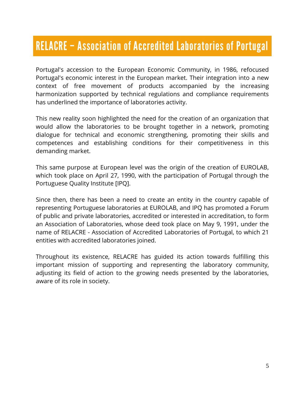### RELACRE - Association of Accredited Laboratories of Portugal

Portugal's accession to the European Economic Community, in 1986, refocused Portugal's economic interest in the European market. Their integration into a new context of free movement of products accompanied by the increasing harmonization supported by technical regulations and compliance requirements has underlined the importance of laboratories activity.

This new reality soon highlighted the need for the creation of an organization that would allow the laboratories to be brought together in a network, promoting dialogue for technical and economic strengthening, promoting their skills and competences and establishing conditions for their competitiveness in this demanding market.

This same purpose at European level was the origin of the creation of EUROLAB, which took place on April 27, 1990, with the participation of Portugal through the Portuguese Quality Institute [IPQ].

Since then, there has been a need to create an entity in the country capable of representing Portuguese laboratories at EUROLAB, and IPQ has promoted a Forum of public and private laboratories, accredited or interested in accreditation, to form an Association of Laboratories, whose deed took place on May 9, 1991, under the name of RELACRE - Association of Accredited Laboratories of Portugal, to which 21 entities with accredited laboratories joined.

Throughout its existence, RELACRE has guided its action towards fulfilling this important mission of supporting and representing the laboratory community, adjusting its field of action to the growing needs presented by the laboratories, aware of its role in society.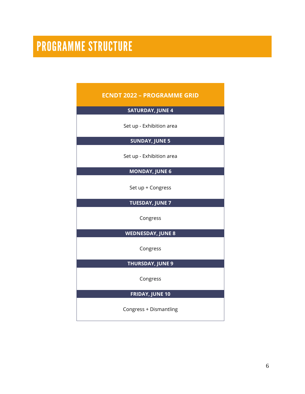# **PROGRAMME STRUCTURE**

| <b>ECNDT 2022 - PROGRAMME GRID</b> |  |  |  |
|------------------------------------|--|--|--|
| <b>SATURDAY, JUNE 4</b>            |  |  |  |
| Set up - Exhibition area           |  |  |  |
| <b>SUNDAY, JUNE 5</b>              |  |  |  |
| Set up - Exhibition area           |  |  |  |
| <b>MONDAY, JUNE 6</b>              |  |  |  |
| Set up + Congress                  |  |  |  |
| <b>TUESDAY, JUNE 7</b>             |  |  |  |
| Congress                           |  |  |  |
| <b>WEDNESDAY, JUNE 8</b>           |  |  |  |
| Congress                           |  |  |  |
| <b>THURSDAY, JUNE 9</b>            |  |  |  |
| Congress                           |  |  |  |
| <b>FRIDAY, JUNE 10</b>             |  |  |  |
| Congress + Dismantling             |  |  |  |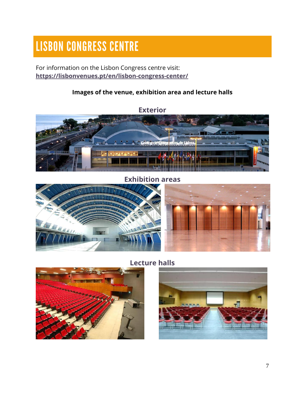# **LISBON CONGRESS CENTRE**

For information on the Lisbon Congress centre visit: **<https://lisbonvenues.pt/en/lisbon-congress-center/>**

### **Images of the venue, exhibition area and lecture halls**



**Exhibition areas**



**Lecture halls**



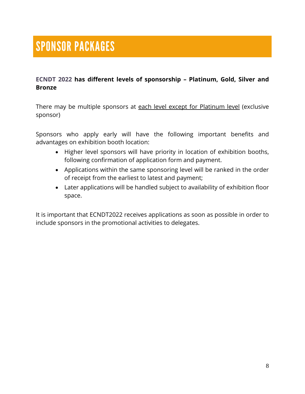#### **ECNDT 2022 has different levels of sponsorship – Platinum, Gold, Silver and Bronze**

There may be multiple sponsors at each level except for Platinum level (exclusive sponsor)

Sponsors who apply early will have the following important benefits and advantages on exhibition booth location:

- Higher level sponsors will have priority in location of exhibition booths, following confirmation of application form and payment.
- Applications within the same sponsoring level will be ranked in the order of receipt from the earliest to latest and payment;
- Later applications will be handled subject to availability of exhibition floor space.

It is important that ECNDT2022 receives applications as soon as possible in order to include sponsors in the promotional activities to delegates.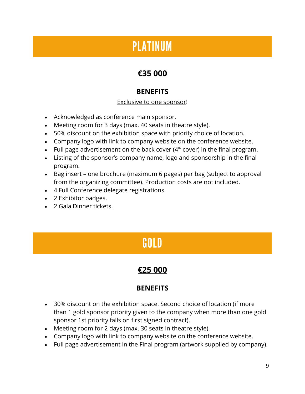### **PLATINUM**

### **€35 000**

### **BENEFITS**

#### Exclusive to one sponsor!

- Acknowledged as conference main sponsor.
- Meeting room for 3 days (max. 40 seats in theatre style).
- 50% discount on the exhibition space with priority choice of location.
- Company logo with link to company website on the conference website.
- Full page advertisement on the back cover  $(4<sup>th</sup> cover)$  in the final program.
- Listing of the sponsor's company name, logo and sponsorship in the final program.
- Bag insert one brochure (maximum 6 pages) per bag (subject to approval from the organizing committee). Production costs are not included.
- 4 Full Conference delegate registrations.
- 2 Exhibitor badges.
- 2 Gala Dinner tickets.

# GOLD

### **€25 000**

### **BENEFITS**

- 30% discount on the exhibition space. Second choice of location (if more than 1 gold sponsor priority given to the company when more than one gold sponsor 1st priority falls on first signed contract).
- Meeting room for 2 days (max. 30 seats in theatre style).
- Company logo with link to company website on the conference website.
- Full page advertisement in the Final program (artwork supplied by company).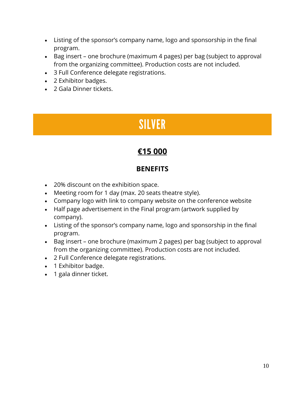- Listing of the sponsor's company name, logo and sponsorship in the final program.
- Bag insert one brochure (maximum 4 pages) per bag (subject to approval from the organizing committee). Production costs are not included.
- 3 Full Conference delegate registrations.
- 2 Exhibitor badges.
- 2 Gala Dinner tickets.

### **SILVER**

### **€15 000**

#### **BENEFITS**

- 20% discount on the exhibition space.
- Meeting room for 1 day (max. 20 seats theatre style).
- Company logo with link to company website on the conference website
- Half page advertisement in the Final program (artwork supplied by company).
- Listing of the sponsor's company name, logo and sponsorship in the final program.
- Bag insert one brochure (maximum 2 pages) per bag (subject to approval from the organizing committee). Production costs are not included.
- 2 Full Conference delegate registrations.
- 1 Exhibitor badge.
- 1 gala dinner ticket.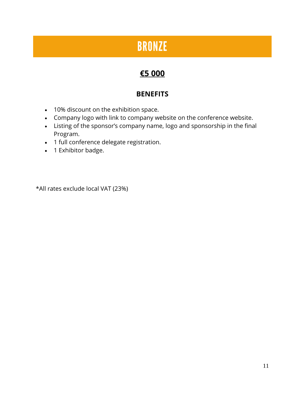### **BRONZE**

### **€5 000**

### **BENEFITS**

- 10% discount on the exhibition space.
- Company logo with link to company website on the conference website.
- Listing of the sponsor's company name, logo and sponsorship in the final Program.
- 1 full conference delegate registration.
- 1 Exhibitor badge.

\*All rates exclude local VAT (23%)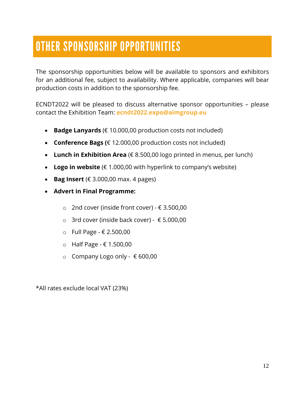# OTHER SPONSORSHIP OPPORTUNITIES

The sponsorship opportunities below will be available to sponsors and exhibitors for an additional fee, subject to availability. Where applicable, companies will bear production costs in addition to the sponsorship fee.

ECNDT2022 will be pleased to discuss alternative sponsor opportunities – please contact the Exhibition Team: **ecndt2022.expo@aimgroup.eu**

- **Badge Lanyards** (€ 10.000,00 production costs not included)
- **Conference Bags (**€ 12.000,00 production costs not included)
- **Lunch in Exhibition Area** (€ 8.500,00 logo printed in menus, per lunch)
- **Logo in website** (€ 1.000,00 with hyperlink to company's website)
- **Bag Insert**  $(E 3.000,00 \text{ max. } 4 \text{ pages})$
- **Advert in Final Programme:**
	- o 2nd cover (inside front cover) € 3.500,00
	- o 3rd cover (inside back cover) € 5.000,00
	- o Full Page € 2.500,00
	- o Half Page € 1.500,00
	- o Company Logo only € 600,00

\*All rates exclude local VAT (23%)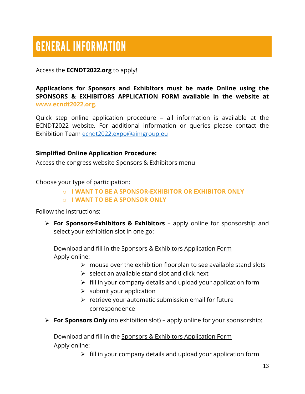# **GENERAL INFORMATION**

Access the **ECNDT2022.org** to apply!

**Applications for Sponsors and Exhibitors must be made Online using the SPONSORS & EXHIBITORS APPLICATION FORM available in the website at www.ecndt2022.org.**

Quick step online application procedure – all information is available at the ECNDT2022 website. For additional information or queries please contact the Exhibition Team [ecndt2022.expo@aimgroup.eu](mailto:ecndt2022.expo@aimgroup.eu)

#### **Simplified Online Application Procedure:**

Access the congress website Sponsors & Exhibitors menu

Choose your type of participation:

- o **I WANT TO BE A SPONSOR-EXHIBITOR OR EXHIBITOR ONLY**
- o **I WANT TO BE A SPONSOR ONLY**

#### Follow the instructions:

 **For Sponsors-Exhibitors & Exhibitors** – apply online for sponsorship and select your exhibition slot in one go:

Download and fill in the Sponsors & Exhibitors Application Form Apply online:

- $\triangleright$  mouse over the exhibition floorplan to see available stand slots
- $\triangleright$  select an available stand slot and click next
- $\triangleright$  fill in your company details and upload your application form
- $\triangleright$  submit your application
- $\triangleright$  retrieve your automatic submission email for future correspondence
- **For Sponsors Only** (no exhibition slot) apply online for your sponsorship:

Download and fill in the Sponsors & Exhibitors Application Form Apply online:

 $\triangleright$  fill in your company details and upload your application form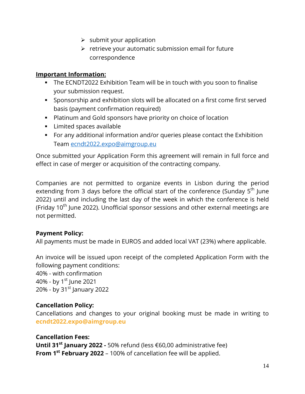- $\triangleright$  submit your application
- $\triangleright$  retrieve your automatic submission email for future correspondence

#### **Important Information:**

- The ECNDT2022 Exhibition Team will be in touch with you soon to finalise your submission request.
- Sponsorship and exhibition slots will be allocated on a first come first served basis (payment confirmation required)
- Platinum and Gold sponsors have priority on choice of location
- **Limited spaces available**
- For any additional information and/or queries please contact the Exhibition Team [ecndt2022.expo@aimgroup.eu](mailto:ecndt2022.expo@aimgroup.eu)

Once submitted your Application Form this agreement will remain in full force and effect in case of merger or acquisition of the contracting company.

Companies are not permitted to organize events in Lisbon during the period extending from 3 days before the official start of the conference (Sunday 5<sup>th</sup> June 2022) until and including the last day of the week in which the conference is held (Friday  $10<sup>th</sup>$  June 2022). Unofficial sponsor sessions and other external meetings are not permitted.

#### **Payment Policy:**

All payments must be made in EUROS and added local VAT (23%) where applicable.

An invoice will be issued upon receipt of the completed Application Form with the following payment conditions:

40% - with confirmation 40% - by  $1^{st}$  June 2021 20% - by 31 $\mathrm{st}$  January 2022

#### **Cancellation Policy:**

Cancellations and changes to your original booking must be made in writing to **ecndt2022.expo@aimgroup.eu**

#### **Cancellation Fees:**

**Until 31st January 2022 -** 50% refund (less €60,00 administrative fee) **From 1st February 2022** – 100% of cancellation fee will be applied.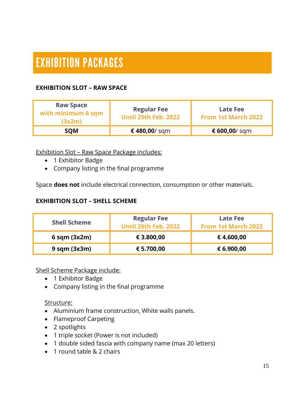# **EXHIBITION PACKAGES**

#### **EXHIBITION SLOT – RAW SPACE**

| <b>Raw Space</b><br>with minimum 6 sqm<br>(3x2m) | <b>Regular Fee</b><br><b>Until 29th Feb. 2022</b> | <b>Late Fee</b><br><b>From 1st March 2022</b> |
|--------------------------------------------------|---------------------------------------------------|-----------------------------------------------|
| <b>SOM</b>                                       | €480,00/sqm                                       | € 600,00/ sqm                                 |

Exhibition Slot – Raw Space Package includes:

- 1 Exhibitor Badge
- Company listing in the final programme

Space **does not** include electrical connection, consumption or other materials.

#### **EXHIBITION SLOT – SHELL SCHEME**

| <b>Shell Scheme</b> | <b>Regular Fee</b><br><b>Until 29th Feb. 2022</b> | <b>Late Fee</b><br><b>From 1st March 2022</b> |
|---------------------|---------------------------------------------------|-----------------------------------------------|
| $6$ sqm $(3x2m)$    | € 3.800,00                                        | €4.600,00                                     |
| $9$ sqm $(3x3m)$    | € 5.700,00                                        | € 6.900,00                                    |

Shell Scheme Package include:

- 1 Exhibitor Badge
- Company listing in the final programme

#### Structure:

- Aluminium frame construction, White walls panels.
- Flameproof Carpeting
- 2 spotlights
- 1 triple socket (Power is not included)
- 1 double sided fascia with company name (max 20 letters)
- 1 round table & 2 chairs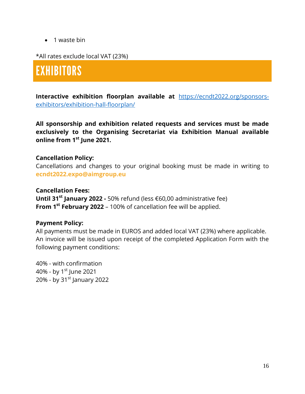• 1 waste bin

\*All rates exclude local VAT (23%)

### **EXHIBITORS**

**Interactive exhibition floorplan available at** [https://ecndt2022.org/sponsors](https://ecndt2022.org/sponsors-exhibitors/exhibition-hall-floorplan/)[exhibitors/exhibition-hall-floorplan/](https://ecndt2022.org/sponsors-exhibitors/exhibition-hall-floorplan/)

**All sponsorship and exhibition related requests and services must be made exclusively to the Organising Secretariat via Exhibition Manual available online from 1st June 2021.**

#### **Cancellation Policy:**

Cancellations and changes to your original booking must be made in writing to **ecndt2022.expo@aimgroup.eu**

#### **Cancellation Fees:**

**Until 31st January 2022 -** 50% refund (less €60,00 administrative fee) **From 1st February 2022** – 100% of cancellation fee will be applied.

#### **Payment Policy:**

All payments must be made in EUROS and added local VAT (23%) where applicable. An invoice will be issued upon receipt of the completed Application Form with the following payment conditions:

40% - with confirmation 40% - by  $1^{st}$  June 2021 20% - by 31 $\mathrm{st}$  January 2022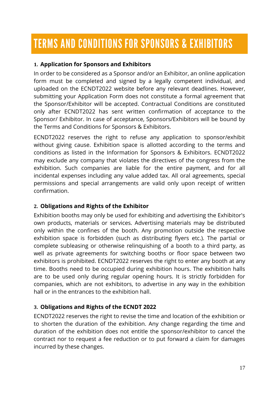# **TERMS AND CONDITIONS FOR SPONSORS & EXHIBITORS**

#### **1. Application for Sponsors and Exhibitors**

In order to be considered as a Sponsor and/or an Exhibitor, an online application form must be completed and signed by a legally competent individual, and uploaded on the ECNDT2022 website before any relevant deadlines. However, submitting your Application Form does not constitute a formal agreement that the Sponsor/Exhibitor will be accepted. Contractual Conditions are constituted only after ECNDT2022 has sent written confirmation of acceptance to the Sponsor/ Exhibitor. In case of acceptance, Sponsors/Exhibitors will be bound by the Terms and Conditions for Sponsors & Exhibitors.

ECNDT2022 reserves the right to refuse any application to sponsor/exhibit without giving cause. Exhibition space is allotted according to the terms and conditions as listed in the Information for Sponsors & Exhibitors. ECNDT2022 may exclude any company that violates the directives of the congress from the exhibition. Such companies are liable for the entire payment, and for all incidental expenses including any value added tax. All oral agreements, special permissions and special arrangements are valid only upon receipt of written confirmation.

#### **2. Obligations and Rights of the Exhibitor**

Exhibition booths may only be used for exhibiting and advertising the Exhibitor's own products, materials or services. Advertising materials may be distributed only within the confines of the booth. Any promotion outside the respective exhibition space is forbidden (such as distributing flyers etc.). The partial or complete subleasing or otherwise relinquishing of a booth to a third party, as well as private agreements for switching booths or floor space between two exhibitors is prohibited. ECNDT2022 reserves the right to enter any booth at any time. Booths need to be occupied during exhibition hours. The exhibition halls are to be used only during regular opening hours. It is strictly forbidden for companies, which are not exhibitors, to advertise in any way in the exhibition hall or in the entrances to the exhibition hall.

#### **3. Obligations and Rights of the ECNDT 2022**

ECNDT2022 reserves the right to revise the time and location of the exhibition or to shorten the duration of the exhibition. Any change regarding the time and duration of the exhibition does not entitle the sponsor/exhibitor to cancel the contract nor to request a fee reduction or to put forward a claim for damages incurred by these changes.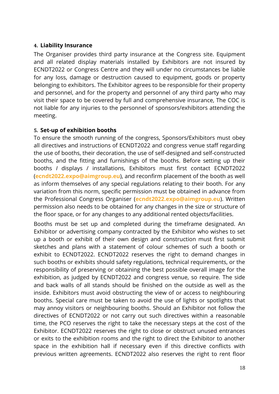#### **4. Liability Insurance**

The Organiser provides third party insurance at the Congress site. Equipment and all related display materials installed by Exhibitors are not insured by ECNDT2022 or Congress Centre and they will under no circumstances be liable for any loss, damage or destruction caused to equipment, goods or property belonging to exhibitors. The Exhibitor agrees to be responsible for their property and personnel, and for the property and personnel of any third party who may visit their space to be covered by full and comprehensive insurance, The COC is not liable for any injuries to the personnel of sponsors/exhibitors attending the meeting.

#### **5. Set-up of exhibition booths**

To ensure the smooth running of the congress, Sponsors/Exhibitors must obey all directives and instructions of ECNDT2022 and congress venue staff regarding the use of booths, their decoration, the use of self-designed and self-constructed booths, and the fitting and furnishings of the booths. Before setting up their booths *I* displays / installations, Exhibitors must first contact ECNDT2022 (**ecndt2022.expo@aimgroup.eu**), and reconfirm placement of the booth as well as inform themselves of any special regulations relating to their booth. For any variation from this norm, specific permission must be obtained in advance from the Professional Congress Organiser (**ecndt2022.expo@aimgroup.eu**). Written permission also needs to be obtained for any changes in the size or structure of the floor space, or for any changes to any additional rented objects/facilities.

Booths must be set up and completed during the timeframe designated. An Exhibitor or advertising company contracted by the Exhibitor who wishes to set up a booth or exhibit of their own design and construction must first submit sketches and plans with a statement of colour schemes of such a booth or exhibit to ECNDT2022. ECNDT2022 reserves the right to demand changes in such booths or exhibits should safety regulations, technical requirements, or the responsibility of preserving or obtaining the best possible overall image for the exhibition, as judged by ECNDT2022 and congress venue, so require. The side and back walls of all stands should be finished on the outside as well as the inside. Exhibitors must avoid obstructing the view of or access to neighbouring booths. Special care must be taken to avoid the use of lights or spotlights that may annoy visitors or neighbouring booths. Should an Exhibitor not follow the directives of ECNDT2022 or not carry out such directives within a reasonable time, the PCO reserves the right to take the necessary steps at the cost of the Exhibitor. ECNDT2022 reserves the right to close or obstruct unused entrances or exits to the exhibition rooms and the right to direct the Exhibitor to another space in the exhibition hall if necessary even if this directive conflicts with previous written agreements. ECNDT2022 also reserves the right to rent floor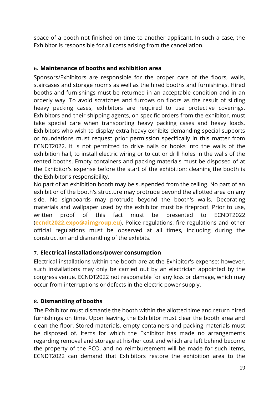space of a booth not finished on time to another applicant. In such a case, the Exhibitor is responsible for all costs arising from the cancellation.

#### **6. Maintenance of booths and exhibition area**

Sponsors/Exhibitors are responsible for the proper care of the floors, walls, staircases and storage rooms as well as the hired booths and furnishings. Hired booths and furnishings must be returned in an acceptable condition and in an orderly way. To avoid scratches and furrows on floors as the result of sliding heavy packing cases, exhibitors are required to use protective coverings. Exhibitors and their shipping agents, on specific orders from the exhibitor, must take special care when transporting heavy packing cases and heavy loads. Exhibitors who wish to display extra heavy exhibits demanding special supports or foundations must request prior permission specifically in this matter from ECNDT2022. It is not permitted to drive nails or hooks into the walls of the exhibition hall, to install electric wiring or to cut or drill holes in the walls of the rented booths. Empty containers and packing materials must be disposed of at the Exhibitor's expense before the start of the exhibition; cleaning the booth is the Exhibitor's responsibility.

No part of an exhibition booth may be suspended from the ceiling. No part of an exhibit or of the booth's structure may protrude beyond the allotted area on any side. No signboards may protrude beyond the booth's walls. Decorating materials and wallpaper used by the exhibitor must be fireproof. Prior to use, written proof of this fact must be presented to ECNDT2022 (**ecndt2022.expo@aimgroup.eu**). Police regulations, fire regulations and other official regulations must be observed at all times, including during the construction and dismantling of the exhibits.

#### **7. Electrical installations/power consumption**

Electrical installations within the booth are at the Exhibitor's expense; however, such installations may only be carried out by an electrician appointed by the congress venue. ECNDT2022 not responsible for any loss or damage, which may occur from interruptions or defects in the electric power supply.

#### **8. Dismantling of booths**

The Exhibitor must dismantle the booth within the allotted time and return hired furnishings on time. Upon leaving, the Exhibitor must clear the booth area and clean the floor. Stored materials, empty containers and packing materials must be disposed of. Items for which the Exhibitor has made no arrangements regarding removal and storage at his/her cost and which are left behind become the property of the PCO, and no reimbursement will be made for such items, ECNDT2022 can demand that Exhibitors restore the exhibition area to the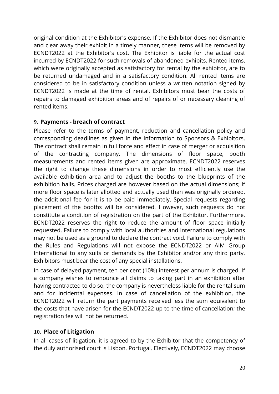original condition at the Exhibitor's expense. If the Exhibitor does not dismantle and clear away their exhibit in a timely manner, these items will be removed by ECNDT2022 at the Exhibitor's cost. The Exhibitor is liable for the actual cost incurred by ECNDT2022 for such removals of abandoned exhibits. Rented items, which were originally accepted as satisfactory for rental by the exhibitor, are to be returned undamaged and in a satisfactory condition. All rented items are considered to be in satisfactory condition unless a written notation signed by ECNDT2022 is made at the time of rental. Exhibitors must bear the costs of repairs to damaged exhibition areas and of repairs of or necessary cleaning of rented items.

#### **9. Payments - breach of contract**

Please refer to the terms of payment, reduction and cancellation policy and corresponding deadlines as given in the Information to Sponsors & Exhibitors. The contract shall remain in full force and effect in case of merger or acquisition of the contracting company. The dimensions of floor space, booth measurements and rented items given are approximate. ECNDT2022 reserves the right to change these dimensions in order to most efficiently use the available exhibition area and to adjust the booths to the blueprints of the exhibition halls. Prices charged are however based on the actual dimensions; if more floor space is later allotted and actually used than was originally ordered, the additional fee for it is to be paid immediately. Special requests regarding placement of the booths will be considered. However, such requests do not constitute a condition of registration on the part of the Exhibitor. Furthermore, ECNDT2022 reserves the right to reduce the amount of floor space initially requested. Failure to comply with local authorities and international regulations may not be used as a ground to declare the contract void. Failure to comply with the Rules and Regulations will not expose the ECNDT2022 or AIM Group International to any suits or demands by the Exhibitor and/or any third party. Exhibitors must bear the cost of any special installations.

In case of delayed payment, ten per cent (10%) interest per annum is charged. If a company wishes to renounce all claims to taking part in an exhibition after having contracted to do so, the company is nevertheless liable for the rental sum and for incidental expenses. In case of cancellation of the exhibition, the ECNDT2022 will return the part payments received less the sum equivalent to the costs that have arisen for the ECNDT2022 up to the time of cancellation; the registration fee will not be returned.

#### **10. Place of Litigation**

In all cases of litigation, it is agreed to by the Exhibitor that the competency of the duly authorised court is Lisbon, Portugal. Electively, ECNDT2022 may choose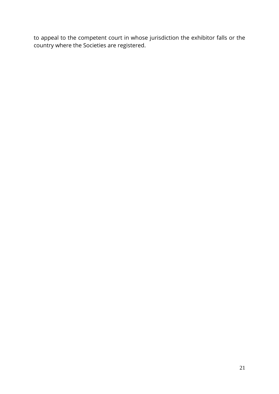to appeal to the competent court in whose jurisdiction the exhibitor falls or the country where the Societies are registered.